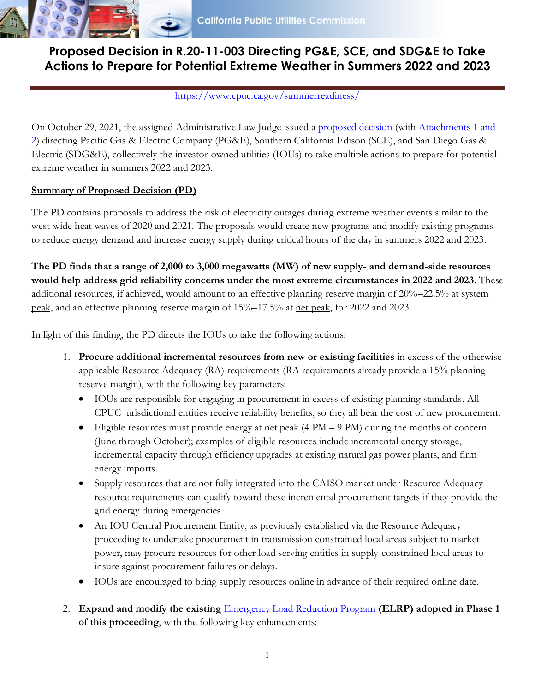

# **Proposed Decision in R.20-11-003 Directing PG&E, SCE, and SDG&E to Take Actions to Prepare for Potential Extreme Weather in Summers 2022 and 2023**

#### <https://www.cpuc.ca.gov/summerreadiness/>

On October 29, 2021, the assigned Administrative Law Judge issued a [proposed decision](https://docs.cpuc.ca.gov/PublishedDocs/Efile/G000/M418/K665/418665210.PDF) (with [Attachments](https://docs.cpuc.ca.gov/PublishedDocs/Efile/G000/M418/K722/418722984.PDF) 1 and [2\)](https://docs.cpuc.ca.gov/PublishedDocs/Efile/G000/M418/K722/418722984.PDF) directing Pacific Gas & Electric Company (PG&E), Southern California Edison (SCE), and San Diego Gas & Electric (SDG&E), collectively the investor-owned utilities (IOUs) to take multiple actions to prepare for potential extreme weather in summers 2022 and 2023.

### **Summary of Proposed Decision (PD)**

The PD contains proposals to address the risk of electricity outages during extreme weather events similar to the west-wide heat waves of 2020 and 2021. The proposals would create new programs and modify existing programs to reduce energy demand and increase energy supply during critical hours of the day in summers 2022 and 2023.

**The PD finds that a range of 2,000 to 3,000 megawatts (MW) of new supply- and demand-side resources would help address grid reliability concerns under the most extreme circumstances in 2022 and 2023**. These additional resources, if achieved, would amount to an effective planning reserve margin of 20%–22.5% at system peak, and an effective planning reserve margin of 15%–17.5% at net peak, for 2022 and 2023.

In light of this finding, the PD directs the IOUs to take the following actions:

- 1. **Procure additional incremental resources from new or existing facilities** in excess of the otherwise applicable Resource Adequacy (RA) requirements (RA requirements already provide a 15% planning reserve margin), with the following key parameters:
	- IOUs are responsible for engaging in procurement in excess of existing planning standards. All CPUC jurisdictional entities receive reliability benefits, so they all bear the cost of new procurement.
	- Eligible resources must provide energy at net peak (4 PM 9 PM) during the months of concern (June through October); examples of eligible resources include incremental energy storage, incremental capacity through efficiency upgrades at existing natural gas power plants, and firm energy imports.
	- Supply resources that are not fully integrated into the CAISO market under Resource Adequacy resource requirements can qualify toward these incremental procurement targets if they provide the grid energy during emergencies.
	- An IOU Central Procurement Entity, as previously established via the Resource Adequacy proceeding to undertake procurement in transmission constrained local areas subject to market power, may procure resources for other load serving entities in supply-constrained local areas to insure against procurement failures or delays.
	- IOUs are encouraged to bring supply resources online in advance of their required online date.
- 2. **Expand and modify the existing** [Emergency Load Reduction Program](https://www.cpuc.ca.gov/industries-and-topics/electrical-energy/electric-costs/demand-response-dr/emergency-load-reduction-program) **(ELRP) adopted in Phase 1 of this proceeding**, with the following key enhancements: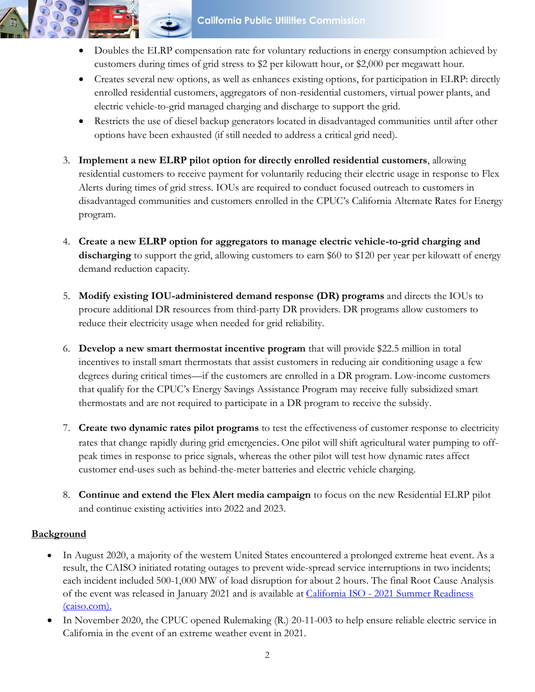**California Public Utilities Commission** 

- Doubles the ELRP compensation rate for voluntary reductions in energy consumption achieved by customers during times of grid stress to \$2 per kilowatt hour, or \$2,000 per megawatt hour.
- Creates several new options, as well as enhances existing options, for participation in ELRP: directly enrolled residential customers, aggregators of non-residential customers, virtual power plants, and electric vehicle-to-grid managed charging and discharge to support the grid.
- Restricts the use of diesel backup generators located in disadvantaged communities until after other options have been exhausted (if still needed to address a critical grid need).
- 3. **Implement a new ELRP pilot option for directly enrolled residential customers**, allowing residential customers to receive payment for voluntarily reducing their electric usage in response to Flex Alerts during times of grid stress. IOUs are required to conduct focused outreach to customers in disadvantaged communities and customers enrolled in the CPUC's California Alternate Rates for Energy program.
- 4. **Create a new ELRP option for aggregators to manage electric vehicle-to-grid charging and**  discharging to support the grid, allowing customers to earn \$60 to \$120 per year per kilowatt of energy demand reduction capacity.
- 5. **Modify existing IOU-administered demand response (DR) programs** and directs the IOUs to procure additional DR resources from third-party DR providers. DR programs allow customers to reduce their electricity usage when needed for grid reliability.
- 6. **Develop a new smart thermostat incentive program** that will provide \$22.5 million in total incentives to install smart thermostats that assist customers in reducing air conditioning usage a few degrees during critical times—if the customers are enrolled in a DR program. Low-income customers that qualify for the CPUC's Energy Savings Assistance Program may receive fully subsidized smart thermostats and are not required to participate in a DR program to receive the subsidy.
- 7. **Create two dynamic rates pilot programs** to test the effectiveness of customer response to electricity rates that change rapidly during grid emergencies. One pilot will shift agricultural water pumping to offpeak times in response to price signals, whereas the other pilot will test how dynamic rates affect customer end-uses such as behind-the-meter batteries and electric vehicle charging.
- 8. **Continue and extend the Flex Alert media campaign** to focus on the new Residential ELRP pilot and continue existing activities into 2022 and 2023.

## **Background**

- In August 2020, a majority of the western United States encountered a prolonged extreme heat event. As a result, the CAISO initiated rotating outages to prevent wide-spread service interruptions in two incidents; each incident included 500-1,000 MW of load disruption for about 2 hours. The final Root Cause Analysis of the event was released in January 2021 and is available at California ISO - [2021 Summer Readiness](http://www.caiso.com/about/Pages/News/SummerReadiness.aspx)  [\(caiso.com\).](http://www.caiso.com/about/Pages/News/SummerReadiness.aspx)
- In November 2020, the CPUC opened Rulemaking (R.) 20-11-003 to help ensure reliable electric service in California in the event of an extreme weather event in 2021.